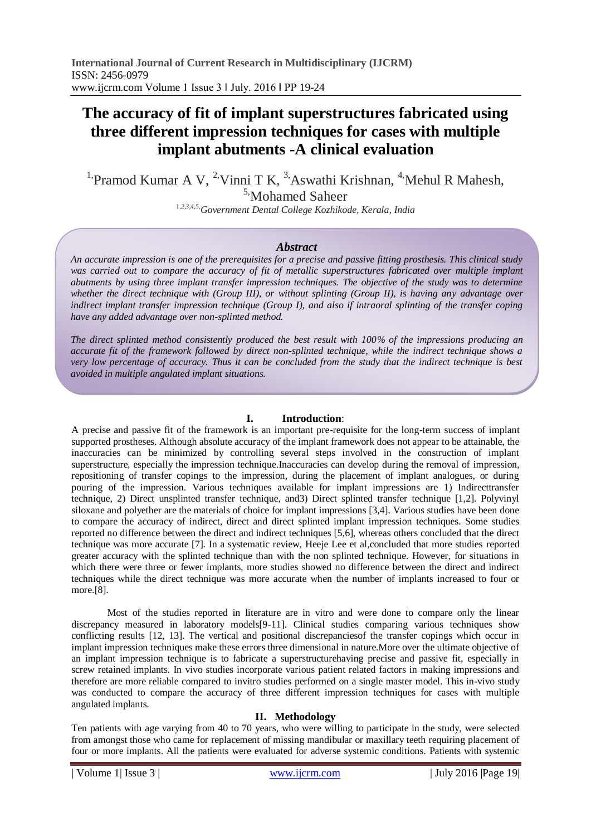# **The accuracy of fit of implant superstructures fabricated using three different impression techniques for cases with multiple implant abutments -A clinical evaluation**

<sup>1</sup>Pramod Kumar A V, <sup>2</sup>Vinni T K, <sup>3</sup>Aswathi Krishnan, <sup>4</sup>Mehul R Mahesh, 5,Mohamed Saheer

<sup>1</sup>*,2,3,4,5,Government Dental College Kozhikode, Kerala, India*

## *Abstract*

*An accurate impression is one of the prerequisites for a precise and passive fitting prosthesis. This clinical study*  was carried out to compare the accuracy of fit of metallic superstructures fabricated over multiple implant *abutments by using three implant transfer impression techniques. The objective of the study was to determine whether the direct technique with (Group III), or without splinting (Group II), is having any advantage over indirect implant transfer impression technique (Group I), and also if intraoral splinting of the transfer coping have any added advantage over non-splinted method.* 

*The direct splinted method consistently produced the best result with 100% of the impressions producing an accurate fit of the framework followed by direct non-splinted technique, while the indirect technique shows a very low percentage of accuracy. Thus it can be concluded from the study that the indirect technique is best avoided in multiple angulated implant situations.* 

## **I. Introduction**:

A precise and passive fit of the framework is an important pre-requisite for the long-term success of implant supported prostheses. Although absolute accuracy of the implant framework does not appear to be attainable, the inaccuracies can be minimized by controlling several steps involved in the construction of implant superstructure, especially the impression technique.Inaccuracies can develop during the removal of impression, repositioning of transfer copings to the impression, during the placement of implant analogues, or during pouring of the impression. Various techniques available for implant impressions are 1) Indirecttransfer technique, 2) Direct unsplinted transfer technique, and3) Direct splinted transfer technique [1,2]. Polyvinyl siloxane and polyether are the materials of choice for implant impressions [3,4]. Various studies have been done to compare the accuracy of indirect, direct and direct splinted implant impression techniques. Some studies reported no difference between the direct and indirect techniques [5,6], whereas others concluded that the direct technique was more accurate [7]. In a systematic review, Heeje Lee et al,concluded that more studies reported greater accuracy with the splinted technique than with the non splinted technique. However, for situations in which there were three or fewer implants, more studies showed no difference between the direct and indirect techniques while the direct technique was more accurate when the number of implants increased to four or more.[8].

Most of the studies reported in literature are in vitro and were done to compare only the linear discrepancy measured in laboratory models [9-11]. Clinical studies comparing various techniques show conflicting results [12, 13]. The vertical and positional discrepanciesof the transfer copings which occur in implant impression techniques make these errors three dimensional in nature.More over the ultimate objective of an implant impression technique is to fabricate a superstructurehaving precise and passive fit, especially in screw retained implants. In vivo studies incorporate various patient related factors in making impressions and therefore are more reliable compared to invitro studies performed on a single master model. This in-vivo study was conducted to compare the accuracy of three different impression techniques for cases with multiple angulated implants.

## **II. Methodology**

Ten patients with age varying from 40 to 70 years, who were willing to participate in the study, were selected from amongst those who came for replacement of missing mandibular or maxillary teeth requiring placement of four or more implants. All the patients were evaluated for adverse systemic conditions. Patients with systemic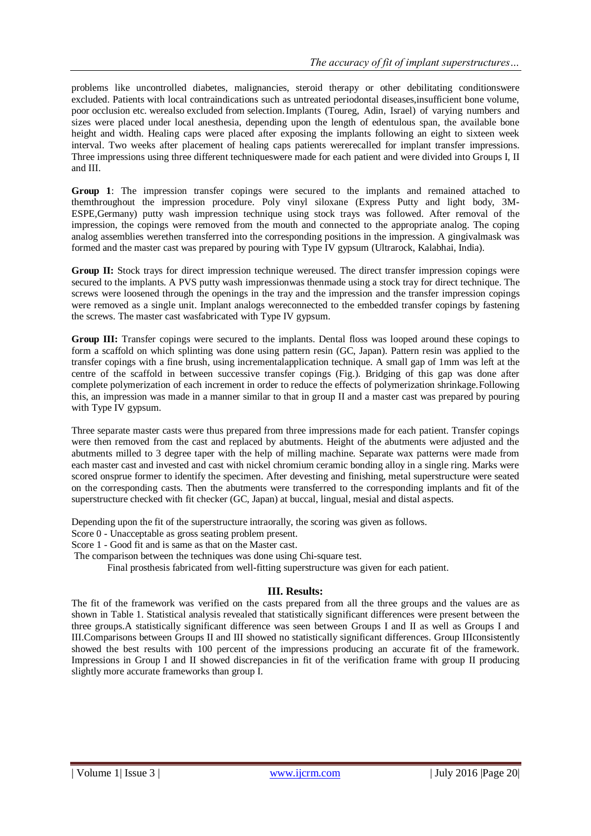problems like uncontrolled diabetes, malignancies, steroid therapy or other debilitating conditionswere excluded. Patients with local contraindications such as untreated periodontal diseases,insufficient bone volume, poor occlusion etc. werealso excluded from selection.Implants (Toureg, Adin, Israel) of varying numbers and sizes were placed under local anesthesia, depending upon the length of edentulous span, the available bone height and width. Healing caps were placed after exposing the implants following an eight to sixteen week interval. Two weeks after placement of healing caps patients wererecalled for implant transfer impressions. Three impressions using three different techniqueswere made for each patient and were divided into Groups I, II and III.

**Group 1**: The impression transfer copings were secured to the implants and remained attached to themthroughout the impression procedure. Poly vinyl siloxane (Express Putty and light body, 3M-ESPE,Germany) putty wash impression technique using stock trays was followed. After removal of the impression, the copings were removed from the mouth and connected to the appropriate analog. The coping analog assemblies werethen transferred into the corresponding positions in the impression. A gingivalmask was formed and the master cast was prepared by pouring with Type IV gypsum (Ultrarock, Kalabhai, India).

**Group II:** Stock trays for direct impression technique wereused. The direct transfer impression copings were secured to the implants. A PVS putty wash impressionwas thenmade using a stock tray for direct technique. The screws were loosened through the openings in the tray and the impression and the transfer impression copings were removed as a single unit. Implant analogs wereconnected to the embedded transfer copings by fastening the screws. The master cast wasfabricated with Type IV gypsum.

**Group III:** Transfer copings were secured to the implants. Dental floss was looped around these copings to form a scaffold on which splinting was done using pattern resin (GC, Japan). Pattern resin was applied to the transfer copings with a fine brush, using incrementalapplication technique. A small gap of 1mm was left at the centre of the scaffold in between successive transfer copings (Fig.). Bridging of this gap was done after complete polymerization of each increment in order to reduce the effects of polymerization shrinkage.Following this, an impression was made in a manner similar to that in group II and a master cast was prepared by pouring with Type IV gypsum.

Three separate master casts were thus prepared from three impressions made for each patient. Transfer copings were then removed from the cast and replaced by abutments. Height of the abutments were adjusted and the abutments milled to 3 degree taper with the help of milling machine. Separate wax patterns were made from each master cast and invested and cast with nickel chromium ceramic bonding alloy in a single ring. Marks were scored onsprue former to identify the specimen. After devesting and finishing, metal superstructure were seated on the corresponding casts. Then the abutments were transferred to the corresponding implants and fit of the superstructure checked with fit checker (GC, Japan) at buccal, lingual, mesial and distal aspects.

Depending upon the fit of the superstructure intraorally, the scoring was given as follows.

Score 0 - Unacceptable as gross seating problem present.

Score 1 - Good fit and is same as that on the Master cast.

The comparison between the techniques was done using Chi-square test.

Final prosthesis fabricated from well-fitting superstructure was given for each patient.

## **III. Results:**

The fit of the framework was verified on the casts prepared from all the three groups and the values are as shown in Table 1. Statistical analysis revealed that statistically significant differences were present between the three groups.A statistically significant difference was seen between Groups I and II as well as Groups I and III.Comparisons between Groups II and III showed no statistically significant differences. Group IIIconsistently showed the best results with 100 percent of the impressions producing an accurate fit of the framework. Impressions in Group I and II showed discrepancies in fit of the verification frame with group II producing slightly more accurate frameworks than group I.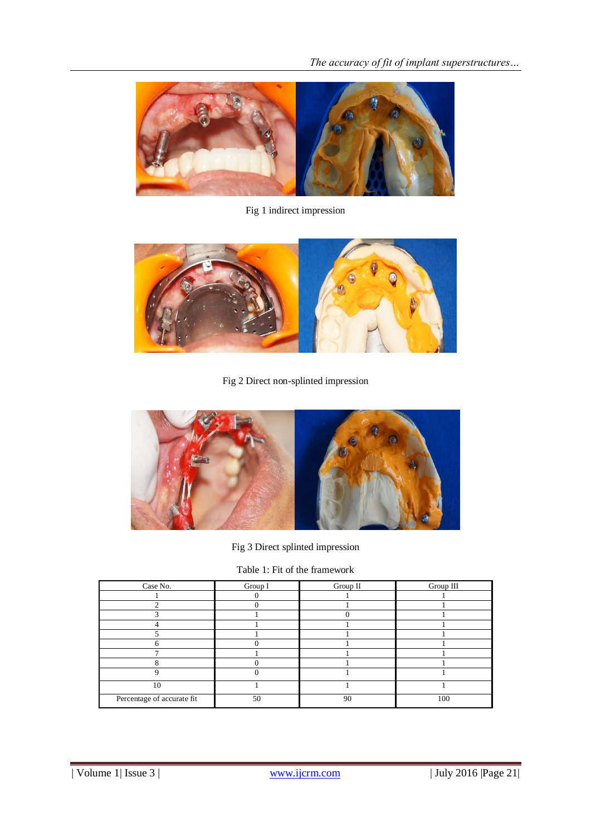

Fig 1 indirect impression



Fig 2 Direct non-splinted impression



Fig 3 Direct splinted impression

Table 1: Fit of the framework

| Case No.                   | Group I | Group II | Group III |
|----------------------------|---------|----------|-----------|
|                            |         |          |           |
|                            |         |          |           |
|                            |         |          |           |
|                            |         |          |           |
|                            |         |          |           |
|                            |         |          |           |
|                            |         |          |           |
|                            |         |          |           |
|                            |         |          |           |
| 10                         |         |          |           |
| Percentage of accurate fit | 50      | 90       | 100       |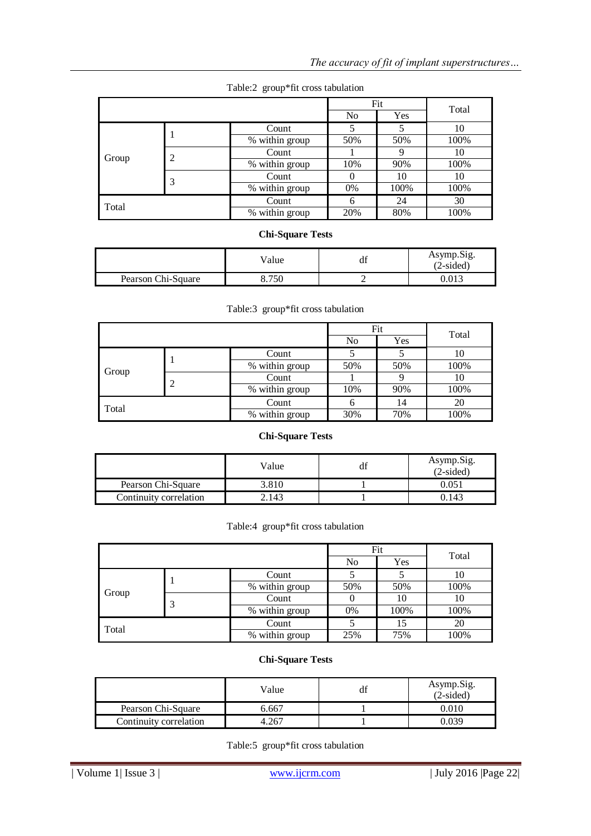|                            |   | Fit            |                | Total |      |
|----------------------------|---|----------------|----------------|-------|------|
|                            |   |                | N <sub>0</sub> | Yes   |      |
|                            |   | Count          |                |       | 10   |
|                            |   | % within group | 50%            | 50%   | 100% |
| Group                      | 2 | Count          |                |       | 10   |
|                            |   | % within group | 10%            | 90%   | 100% |
|                            | 3 | Count          |                | 10    | 10   |
|                            |   | % within group | 0%             | 100%  | 100% |
| Total                      |   | Count          | 6              | 24    | 30   |
| $\frac{1}{2}$ within group |   | 20%            | 80%            | 100%  |      |

## Table:2 group\*fit cross tabulation

## **Chi-Square Tests**

|                    | Value | ם ו<br>df | Asymp.Sig.<br>(2-sided) |
|--------------------|-------|-----------|-------------------------|
| Pearson Chi-Square | 750   |           | 0.013                   |

## Table:3 group\*fit cross tabulation

|       |  |                              |                | Fit |       |
|-------|--|------------------------------|----------------|-----|-------|
|       |  |                              | N <sub>o</sub> | Yes | Total |
|       |  | Count                        |                |     | 10    |
|       |  | % within group               | 50%            | 50% | 100%  |
| Group |  | Count                        |                |     | 10    |
|       |  | $\overline{\%}$ within group | 10%            | 90% | 100%  |
| Total |  | Count                        | h              | 14  | 20    |
|       |  | % within group               | 30%<br>70%     |     | 100%  |

## **Chi-Square Tests**

|                        | Value | Asymp.Sig.<br>$(2-sided)$ |
|------------------------|-------|---------------------------|
| Pearson Chi-Square     | 3.810 | 0.051                     |
| Continuity correlation | 2.143 | .143                      |

## Table:4 group\*fit cross tabulation

|       |                       |     | Fit  | Total |
|-------|-----------------------|-----|------|-------|
|       |                       | No  | Yes  |       |
|       | Count                 |     |      | 10    |
| Group | % within group        | 50% | 50%  | 100%  |
|       | Count                 |     | 10   | 10    |
|       | % within group        | 0%  | 100% | 100%  |
| Total | Count                 |     | 15   | 20    |
|       | % within group<br>25% |     | 75%  | 100%  |

## **Chi-Square Tests**

|                        | Value | df | Asymp.Sig.<br>$(2-sided)$ |
|------------------------|-------|----|---------------------------|
| Pearson Chi-Square     | 6.667 |    | 0.010                     |
| Continuity correlation |       |    | -039                      |

Table:5 group\*fit cross tabulation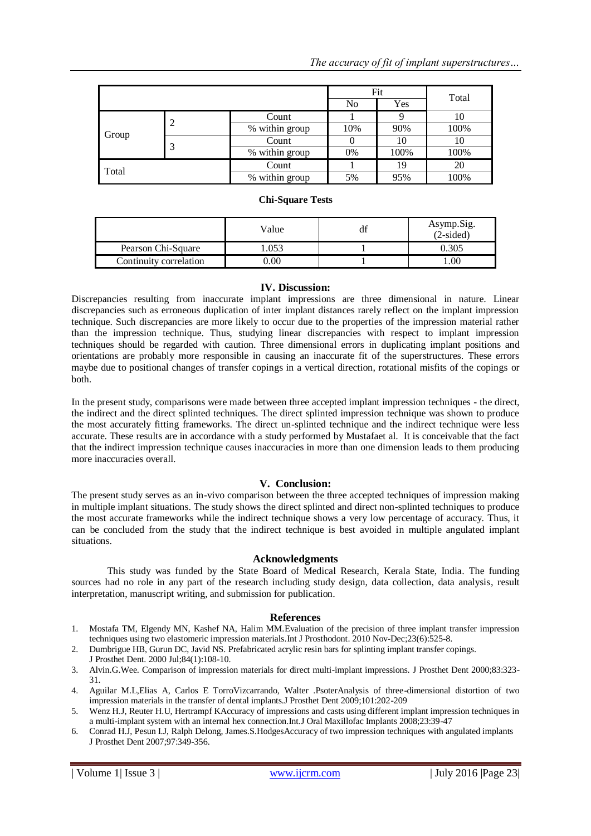|       |                |     | Fit  |       |
|-------|----------------|-----|------|-------|
|       |                | No  | Yes  | Total |
|       | Count          |     |      | 10    |
|       | % within group | 10% | 90%  | 100%  |
| Group | Count          |     | 10   | 10    |
|       | % within group | 0%  | 100% | 100%  |
| Total | Count          |     | 19   | 20    |
|       | % within group | 5%  | 95%  | 100%  |

## **Chi-Square Tests**

|                        | Value | df | Asymp.Sig.<br>$(2-sided)$ |
|------------------------|-------|----|---------------------------|
| Pearson Chi-Square     | .053  |    | ).305                     |
| Continuity correlation | ).00  |    | .00                       |

## **IV. Discussion:**

Discrepancies resulting from inaccurate implant impressions are three dimensional in nature. Linear discrepancies such as erroneous duplication of inter implant distances rarely reflect on the implant impression technique. Such discrepancies are more likely to occur due to the properties of the impression material rather than the impression technique. Thus, studying linear discrepancies with respect to implant impression techniques should be regarded with caution. Three dimensional errors in duplicating implant positions and orientations are probably more responsible in causing an inaccurate fit of the superstructures. These errors maybe due to positional changes of transfer copings in a vertical direction, rotational misfits of the copings or both.

In the present study, comparisons were made between three accepted implant impression techniques - the direct, the indirect and the direct splinted techniques. The direct splinted impression technique was shown to produce the most accurately fitting frameworks. The direct un-splinted technique and the indirect technique were less accurate. These results are in accordance with a study performed by Mustafaet al. It is conceivable that the fact that the indirect impression technique causes inaccuracies in more than one dimension leads to them producing more inaccuracies overall.

## **V. Conclusion:**

The present study serves as an in-vivo comparison between the three accepted techniques of impression making in multiple implant situations. The study shows the direct splinted and direct non-splinted techniques to produce the most accurate frameworks while the indirect technique shows a very low percentage of accuracy. Thus, it can be concluded from the study that the indirect technique is best avoided in multiple angulated implant situations.

## **Acknowledgments**

This study was funded by the State Board of Medical Research, Kerala State, India. The funding sources had no role in any part of the research including study design, data collection, data analysis, result interpretation, manuscript writing, and submission for publication.

## **References**

- 1. Mostafa TM, Elgendy MN, Kashef NA, Halim M[M.Evaluation of the precision of three implant transfer impression](http://www.ncbi.nlm.nih.gov/pubmed/21209987)  [techniques using two elastomeric impression materials.I](http://www.ncbi.nlm.nih.gov/pubmed/21209987)nt J Prosthodont. 2010 Nov-Dec;23(6):525-8.
- 2. Dumbrigue HB, Gurun DC, Javid NS. [Prefabricated acrylic resin bars for splinting implant transfer copings.](http://www.ncbi.nlm.nih.gov/pubmed/10898848) J Prosthet Dent. 2000 Jul;84(1):108-10.
- 3. Alvin.G.Wee. Comparison of impression materials for direct multi-implant impressions. J Prosthet Dent 2000;83:323- 31.
- 4. Aguilar M.L,Elias A, Carlos E TorroVizcarrando, Walter .PsoterAnalysis of three-dimensional distortion of two impression materials in the transfer of dental implants.J Prosthet Dent 2009;101:202-209
- 5. Wenz H.J, Reuter H.U, Hertrampf KAccuracy of impressions and casts using different implant impression techniques in a multi-implant system with an internal hex connection.Int.J Oral Maxillofac Implants 2008;23:39-47
- 6. Conrad H.J, Pesun I.J, Ralph Delong, James.S.HodgesAccuracy of two impression techniques with angulated implants J Prosthet Dent 2007;97:349-356.